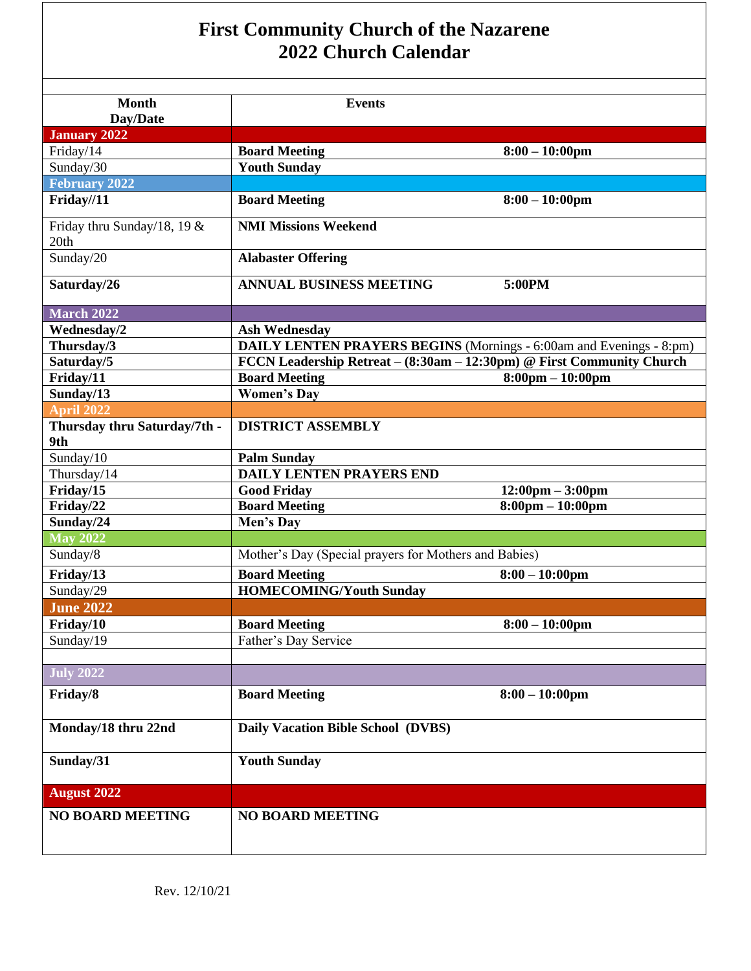| <b>First Community Church of the Nazarene</b><br>2022 Church Calendar |                                                                       |                                    |  |  |
|-----------------------------------------------------------------------|-----------------------------------------------------------------------|------------------------------------|--|--|
| <b>Month</b><br>Day/Date                                              | <b>Events</b>                                                         |                                    |  |  |
| <b>January 2022</b>                                                   |                                                                       |                                    |  |  |
| Friday/14                                                             | <b>Board Meeting</b>                                                  | $8:00 - 10:00$ pm                  |  |  |
| Sunday/30                                                             | <b>Youth Sunday</b>                                                   |                                    |  |  |
| <b>February 2022</b>                                                  |                                                                       |                                    |  |  |
| Friday//11                                                            | <b>Board Meeting</b>                                                  | $8:00 - 10:00$ pm                  |  |  |
| Friday thru Sunday/18, 19 &<br>20th                                   | <b>NMI Missions Weekend</b>                                           |                                    |  |  |
| Sunday/20                                                             | <b>Alabaster Offering</b>                                             |                                    |  |  |
| Saturday/26                                                           | <b>ANNUAL BUSINESS MEETING</b>                                        | 5:00PM                             |  |  |
| <b>March 2022</b>                                                     |                                                                       |                                    |  |  |
| Wednesday/2                                                           | <b>Ash Wednesday</b>                                                  |                                    |  |  |
| Thursday/3                                                            | DAILY LENTEN PRAYERS BEGINS (Mornings - 6:00am and Evenings - 8:pm)   |                                    |  |  |
| Saturday/5                                                            | FCCN Leadership Retreat – (8:30am – 12:30pm) @ First Community Church |                                    |  |  |
| Friday/11                                                             | <b>Board Meeting</b>                                                  | $8:00 \text{pm} - 10:00 \text{pm}$ |  |  |
| Sunday/13                                                             | <b>Women's Day</b>                                                    |                                    |  |  |
| <b>April 2022</b>                                                     |                                                                       |                                    |  |  |
| Thursday thru Saturday/7th -<br>9th                                   | <b>DISTRICT ASSEMBLY</b>                                              |                                    |  |  |
| Sunday/10                                                             | <b>Palm Sunday</b>                                                    |                                    |  |  |
| Thursday/14                                                           | <b>DAILY LENTEN PRAYERS END</b>                                       |                                    |  |  |
| Friday/15                                                             | <b>Good Friday</b>                                                    | $12:00 \text{pm} - 3:00 \text{pm}$ |  |  |
| Friday/22                                                             | <b>Board Meeting</b>                                                  | $8:00 \text{pm} - 10:00 \text{pm}$ |  |  |
| Sunday/24                                                             | Men's Day                                                             |                                    |  |  |
| <b>May 2022</b>                                                       |                                                                       |                                    |  |  |
| Sunday/8                                                              | Mother's Day (Special prayers for Mothers and Babies)                 |                                    |  |  |
| Friday/13                                                             | <b>Board Meeting</b>                                                  | $8:00 - 10:00$ pm                  |  |  |
| Sunday/29                                                             | <b>HOMECOMING/Youth Sunday</b>                                        |                                    |  |  |
| <b>June 2022</b>                                                      |                                                                       |                                    |  |  |
| Friday/10                                                             | <b>Board Meeting</b>                                                  | $8:00 - 10:00$ pm                  |  |  |
| Sunday/19                                                             | Father's Day Service                                                  |                                    |  |  |
|                                                                       |                                                                       |                                    |  |  |
| <b>July 2022</b>                                                      |                                                                       |                                    |  |  |
| Friday/8                                                              | <b>Board Meeting</b>                                                  | $8:00 - 10:00$ pm                  |  |  |
| Monday/18 thru 22nd                                                   | Daily Vacation Bible School (DVBS)                                    |                                    |  |  |
| Sunday/31                                                             | <b>Youth Sunday</b>                                                   |                                    |  |  |
| <b>August 2022</b>                                                    |                                                                       |                                    |  |  |
| <b>NO BOARD MEETING</b>                                               | <b>NO BOARD MEETING</b>                                               |                                    |  |  |